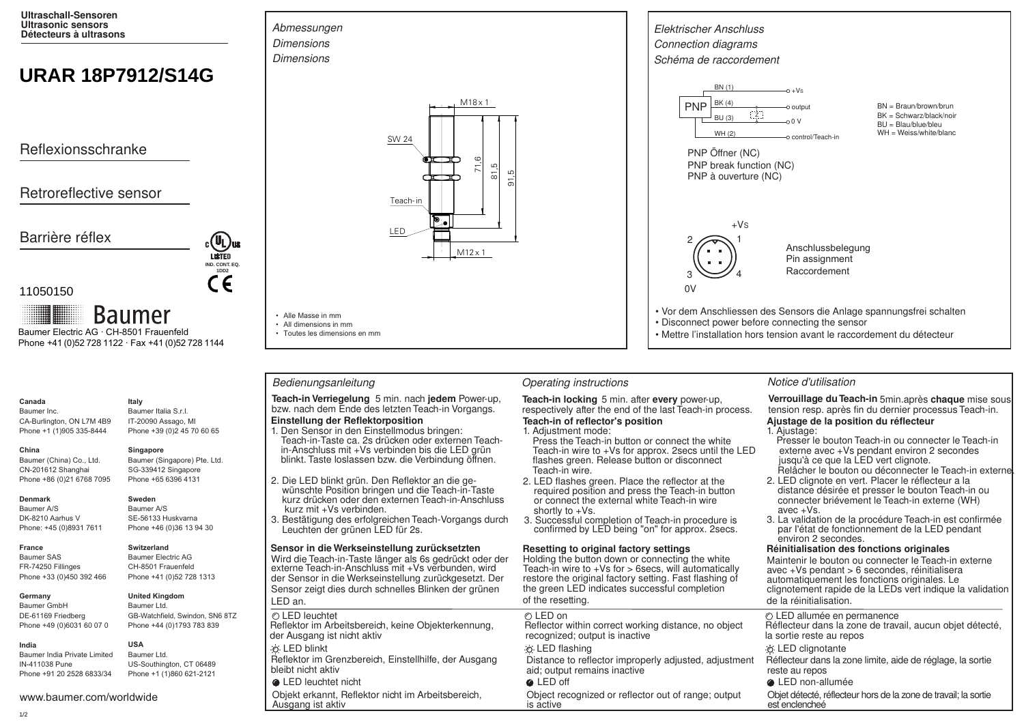**Ultraschall-Sensoren Ultrasonic sensors Détecteurs à ultrasons**

# **URAR 18P7912/S14G**

Reflexionsschranke

# Retroreflective sensor

Barrière réflex



11050150

**Baumer** Baumer Electric AG · CH-8501 Frauenfeld Phone +41 (0)52 728 1122 · Fax +41 (0)52 728 1144

## **Canada**

Baumer Inc. CA-Burlington, ON L7M 4B9 Phone +1 (1)905 335-8444

SG-339412 Singapore

### **Denmark**

**China** 

Baumer A/S DK-8210 Aarhus V Phone: +45 (0)8931 7611

Baumer (China) Co., Ltd. CN-201612 Shanghai Phone +86 (0)21 6768 7095

# **France**

Baumer SAS FR-74250 Fillinges Phone +33 (0)450 392 466

### **Germany**

Baumer GmbH DE-61169 Friedberg Phone +49 (0)6031 60 07 0

Baumer India Private Limited IN-411038 Pune Phone +91 20 2528 6833/34 **USA**

www.baumer.com/worldwide

# **Italy**

Baumer Italia S.r.l. IT-20090 Assago, MI Phone +39 (0)2 45 70 60 65

# **Singapore**

Baumer (Singapore) Pte. Ltd. Phone +65 6396 4131

**Sweden** Baumer A/S SE-56133 Huskvarna Phone +46 (0)36 13 94 30

# **Switzerland**

Baumer Electric AG CH-8501 Frauenfeld Phone +41 (0)52 728 1313

### **United Kingdom** Baumer Ltd.

GB-Watchfield, Swindon, SN6 8TZ Phone +44 (0)1793 783 839

Baumer Ltd. US-Southington, CT 06489 Phone +1 (1)860 621-2121





• Alle Masse in mm • All dimensions in mm • Toutes les dimensions en mm

**Teach-in Verriegelung** 5 min. nach **jedem** Power-up, **Teach-in locking** 5 min. after every power-up, bzw. nach dem Ende des letzten Teach-in vorgangs. respectively after the end of the last Teach-in p

# **Einstellung der Reflektorposition**

- Teach-in-Taste ca. 2s drücken oder externen Teachin-Anschluss mit +Vs verbinden bis die LED grün 1. Den Sensor in den Einstellmodus bringen: blinkt. Taste loslassen bzw. die Verbindung öffnen.
- 2. Die LED blinkt grün. Den Reflektor an die ge-
- wünschte Position bringen und die Teach-in-Taste kurz drücken oder den externen Teach-in-Anschluss kurz mit +Vs verbinden.
- 3. Bestätigung des erfolgreichen Teach-Vorgangs durch Leuchten der grünen LED für 2s.

### **Sensor in die Werkseinstellung zurücksetzten**

Wird die Teach-in-Taste länger als 6s gedrückt oder der externe Teach-in-Anschluss mit +Vs verbunden, wird der Sensor in die Werkseinstellung zurückgesetzt. Der Sensor zeigt dies durch schnelles Blinken der grünen LED an.

## LED leuchtet nicht LED off LED non-allumée

Ausgang ist aktiv



### Bedienungsanleitung **Christian Contractions** Operating instructions **Notice d'utilisation** Notice d'utilisation

respectively after the end of the last Teach-in process. **Teach-in of reflector's position**

### 1. Adjustment mode:

- Press the Teach-in button or connect the white Teach-in wire to +Vs for approx. 2secs until the LED flashes green. Release button or disconnect Teach-in wire.
- 2. LED flashes green. Place the reflector at the required position and press the Teach-in button or connect the external white Teach-in wire shortly to +Vs.
- 3. Successful completion of Teach-in procedure is confirmed by LED being "on" for approx. 2secs.

### **Resetting to original factory settings**

Holding the button down or connecting the white Teach-in wire to  $+Vs$  for  $>$  6 secs, will automatically restore the original factory setting. Fast flashing of the green LED indicates successful completion of the resetting.

Objekt erkannt, Reflektor nicht im Arbeitsbereich, Object recognized or reflector out of range; output Objet détecté, réflecteur hors de la zone de travail; la sortie is active is active

Verrouillage du Teach-in 5min. après chaque mise sous tension resp. après fin du dernier processus Teach-in. **Ajustage de la position du réflecteur**

### 1. Ajustage:

- Presser le bouton Teach-in ou connecter le Teach-in externe avec +Vs pendant environ 2 secondes jusqu'à ce que la LED vert clignote. Relâcher le bouton ou déconnecter le Teach-in externe
- 2. LED clignote en vert. Placer le réflecteur a la distance désirée et presser le bouton Teach-in ou connecter briévement le Teach-in externe (WH) avec +Vs.
- 3. La validation de la procédure Teach-in est confirmée par I'état de fonctionnement de la LED pendant environ 2 secondes.

### **Réinitialisation des fonctions originales**

Maintenir le bouton ou connecter le Teach-in externe avec +Vs pendant > 6 secondes, réinitialisera automatiquement les fonctions originales. Le clignotement rapide de la LEDs vert indique la validation de la réinitialisation.

| LED leuchtet                                        | ⊘ LED on                                              | © LED allumée en permanence                                |
|-----------------------------------------------------|-------------------------------------------------------|------------------------------------------------------------|
| flektor im Arbeitsbereich, keine Objekterkennung,   | Reflector within correct working distance, no object  | Réflecteur dans la zone de travail, aucun objet détecté,   |
| r Ausgang ist nicht aktiv                           | recognized; output is inactive                        | la sortie reste au repos                                   |
| <b>LED blinkt</b>                                   | ∙o LED flashing                                       | <b><i>i</i></b> LED clignotante                            |
| flektor im Grenzbereich, Einstellhilfe, der Ausgang | Distance to reflector improperly adjusted, adjustment | Réflecteur dans la zone limite, aide de réglage, la sortie |
| ibt nicht aktiv                                     | aid; output remains inactive                          | reste au repos                                             |

1/2

**India**